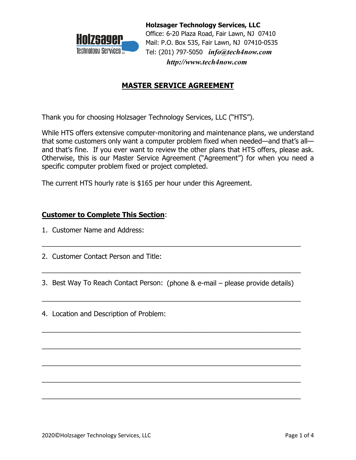

**Holzsager Technology Services, LLC** Office: 6-20 Plaza Road, Fair Lawn, NJ 07410 Mail: P.O. Box 535, Fair Lawn, NJ 07410-0535 Tel: (201) 797-5050 *info@tech4now.com http://www.tech4now.com*

# **MASTER SERVICE AGREEMENT**

Thank you for choosing Holzsager Technology Services, LLC ("HTS").

While HTS offers extensive computer-monitoring and maintenance plans, we understand that some customers only want a computer problem fixed when needed—and that's all and that's fine. If you ever want to review the other plans that HTS offers, please ask. Otherwise, this is our Master Service Agreement ("Agreement") for when you need a specific computer problem fixed or project completed.

The current HTS hourly rate is \$165 per hour under this Agreement.

## **Customer to Complete This Section**:

- 1. Customer Name and Address:
- 2. Customer Contact Person and Title:
- 3. Best Way To Reach Contact Person: (phone & e-mail please provide details)

\_\_\_\_\_\_\_\_\_\_\_\_\_\_\_\_\_\_\_\_\_\_\_\_\_\_\_\_\_\_\_\_\_\_\_\_\_\_\_\_\_\_\_\_\_\_\_\_\_\_\_\_\_\_\_\_\_\_\_\_\_\_\_\_\_\_\_\_

 $\overline{\phantom{a}}$  , and the contract of the contract of the contract of the contract of the contract of the contract of the contract of the contract of the contract of the contract of the contract of the contract of the contrac

 $\overline{\phantom{a}}$  , and the contract of the contract of the contract of the contract of the contract of the contract of the contract of the contract of the contract of the contract of the contract of the contract of the contrac

 $\overline{\phantom{a}}$  , and the contract of the contract of the contract of the contract of the contract of the contract of the contract of the contract of the contract of the contract of the contract of the contract of the contrac

 $\overline{\phantom{a}}$  , and the contract of the contract of the contract of the contract of the contract of the contract of the contract of the contract of the contract of the contract of the contract of the contract of the contrac

 $\overline{\phantom{a}}$  , and the contract of the contract of the contract of the contract of the contract of the contract of the contract of the contract of the contract of the contract of the contract of the contract of the contrac

 $\overline{\phantom{a}}$  , and the contract of the contract of the contract of the contract of the contract of the contract of the contract of the contract of the contract of the contract of the contract of the contract of the contrac

 $\overline{\phantom{a}}$  , and the contract of the contract of the contract of the contract of the contract of the contract of the contract of the contract of the contract of the contract of the contract of the contract of the contrac

4. Location and Description of Problem: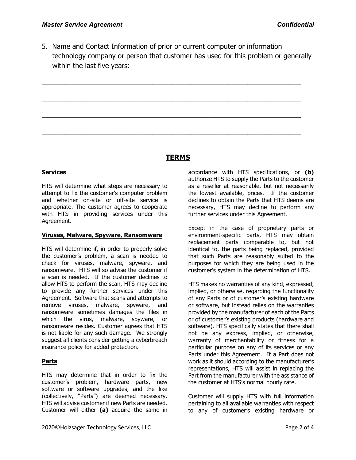5. Name and Contact Information of prior or current computer or information technology company or person that customer has used for this problem or generally within the last five years:

\_\_\_\_\_\_\_\_\_\_\_\_\_\_\_\_\_\_\_\_\_\_\_\_\_\_\_\_\_\_\_\_\_\_\_\_\_\_\_\_\_\_\_\_\_\_\_\_\_\_\_\_\_\_\_\_\_\_\_\_\_\_\_\_\_\_\_\_

\_\_\_\_\_\_\_\_\_\_\_\_\_\_\_\_\_\_\_\_\_\_\_\_\_\_\_\_\_\_\_\_\_\_\_\_\_\_\_\_\_\_\_\_\_\_\_\_\_\_\_\_\_\_\_\_\_\_\_\_\_\_\_\_\_\_\_\_

\_\_\_\_\_\_\_\_\_\_\_\_\_\_\_\_\_\_\_\_\_\_\_\_\_\_\_\_\_\_\_\_\_\_\_\_\_\_\_\_\_\_\_\_\_\_\_\_\_\_\_\_\_\_\_\_\_\_\_\_\_\_\_\_\_\_\_\_

\_\_\_\_\_\_\_\_\_\_\_\_\_\_\_\_\_\_\_\_\_\_\_\_\_\_\_\_\_\_\_\_\_\_\_\_\_\_\_\_\_\_\_\_\_\_\_\_\_\_\_\_\_\_\_\_\_\_\_\_\_\_\_\_\_\_\_\_

## **TERMS**

#### **Services**

HTS will determine what steps are necessary to attempt to fix the customer's computer problem and whether on-site or off-site service is appropriate. The customer agrees to cooperate with HTS in providing services under this Agreement.

#### **Viruses, Malware, Spyware, Ransomware**

HTS will determine if, in order to properly solve the customer's problem, a scan is needed to check for viruses, malware, spyware, and ransomware. HTS will so advise the customer if a scan is needed. If the customer declines to allow HTS to perform the scan, HTS may decline to provide any further services under this Agreement. Software that scans and attempts to remove viruses, malware, spyware, and ransomware sometimes damages the files in which the virus, malware, spyware, or ransomware resides. Customer agrees that HTS is not liable for any such damage. We strongly suggest all clients consider getting a cyberbreach insurance policy for added protection.

## **Parts**

HTS may determine that in order to fix the customer's problem, hardware parts, new software or software upgrades, and the like (collectively, "Parts") are deemed necessary. HTS will advise customer if new Parts are needed. Customer will either **(a)** acquire the same in

accordance with HTS specifications, or **(b)** authorize HTS to supply the Parts to the customer as a reseller at reasonable, but not necessarily the lowest available, prices. If the customer declines to obtain the Parts that HTS deems are necessary, HTS may decline to perform any further services under this Agreement.

Except in the case of proprietary parts or environment-specific parts, HTS may obtain replacement parts comparable to, but not identical to, the parts being replaced, provided that such Parts are reasonably suited to the purposes for which they are being used in the customer's system in the determination of HTS.

HTS makes no warranties of any kind, expressed, implied, or otherwise, regarding the functionality of any Parts or of customer's existing hardware or software, but instead relies on the warranties provided by the manufacturer of each of the Parts or of customer's existing products (hardware and software). HTS specifically states that there shall not be any express, implied, or otherwise, warranty of merchantability or fitness for a particular purpose on any of its services or any Parts under this Agreement. If a Part does not work as it should according to the manufacturer's representations, HTS will assist in replacing the Part from the manufacturer with the assistance of the customer at HTS's normal hourly rate.

Customer will supply HTS with full information pertaining to all available warranties with respect to any of customer's existing hardware or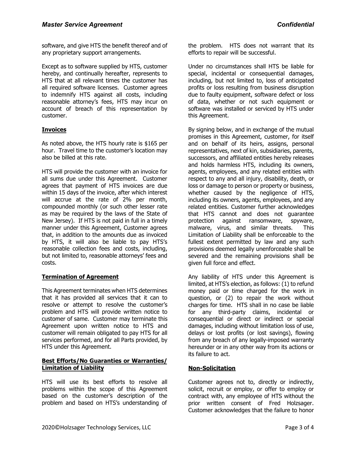software, and give HTS the benefit thereof and of any proprietary support arrangements.

Except as to software supplied by HTS, customer hereby, and continually hereafter, represents to HTS that at all relevant times the customer has all required software licenses. Customer agrees to indemnify HTS against all costs, including reasonable attorney's fees, HTS may incur on account of breach of this representation by customer.

## **Invoices**

As noted above, the HTS hourly rate is \$165 per hour. Travel time to the customer's location may also be billed at this rate.

HTS will provide the customer with an invoice for all sums due under this Agreement. Customer agrees that payment of HTS invoices are due within 15 days of the invoice, after which interest will accrue at the rate of 2% per month, compounded monthly (or such other lesser rate as may be required by the laws of the State of New Jersey). If HTS is not paid in full in a timely manner under this Agreement, Customer agrees that, in addition to the amounts due as invoiced by HTS, it will also be liable to pay HTS's reasonable collection fees and costs, including, but not limited to, reasonable attorneys' fees and costs.

#### **Termination of Agreement**

This Agreement terminates when HTS determines that it has provided all services that it can to resolve or attempt to resolve the customer's problem and HTS will provide written notice to customer of same. Customer may terminate this Agreement upon written notice to HTS and customer will remain obligated to pay HTS for all services performed, and for all Parts provided, by HTS under this Agreement.

#### **Best Efforts/No Guaranties or Warranties/ Limitation of Liability**

HTS will use its best efforts to resolve all problems within the scope of this Agreement based on the customer's description of the problem and based on HTS's understanding of

the problem. HTS does not warrant that its efforts to repair will be successful.

Under no circumstances shall HTS be liable for special, incidental or consequential damages, including, but not limited to, loss of anticipated profits or loss resulting from business disruption due to faulty equipment, software defect or loss of data, whether or not such equipment or software was installed or serviced by HTS under this Agreement.

By signing below, and in exchange of the mutual promises in this Agreement, customer, for itself and on behalf of its heirs, assigns, personal representatives, next of kin, subsidiaries, parents, successors, and affiliated entities hereby releases and holds harmless HTS, including its owners, agents, employees, and any related entities with respect to any and all injury, disability, death, or loss or damage to person or property or business, whether caused by the negligence of HTS, including its owners, agents, employees, and any related entities. Customer further acknowledges that HTS cannot and does not guarantee protection against ransomware, spyware, malware, virus, and similar threats. This Limitation of Liability shall be enforceable to the fullest extent permitted by law and any such provisions deemed legally unenforceable shall be severed and the remaining provisions shall be given full force and effect.

Any liability of HTS under this Agreement is limited, at HTS's election, as follows: (1) to refund money paid or time charged for the work in question, or (2) to repair the work without charges for time. HTS shall in no case be liable for any third-party claims, incidental or consequential or direct or indirect or special damages, including without limitation loss of use, delays or lost profits (or lost savings), flowing from any breach of any legally-imposed warranty hereunder or in any other way from its actions or its failure to act.

## **Non-Solicitation**

Customer agrees not to, directly or indirectly, solicit, recruit or employ, or offer to employ or contract with, any employee of HTS without the prior written consent of Fred Holzsager. Customer acknowledges that the failure to honor